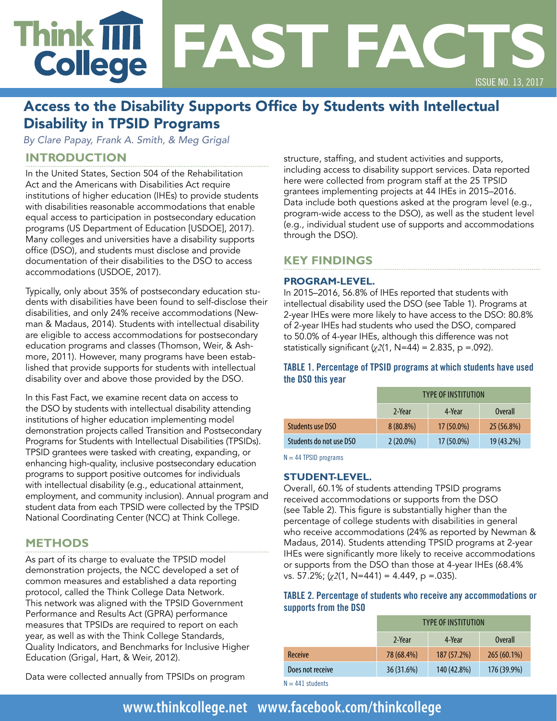# Think **IIII**<br>College **FAST FACTS**  ISSUE NO. 13, 2017

## Access to the Disability Supports Office by Students with Intellectual Disability in TPSID Programs

*By Clare Papay, Frank A. Smith, & Meg Grigal* 

## **INTRODUCTION**

In the United States, Section 504 of the Rehabilitation Act and the Americans with Disabilities Act require institutions of higher education (IHEs) to provide students with disabilities reasonable accommodations that enable equal access to participation in postsecondary education programs (US Department of Education [USDOE], 2017). Many colleges and universities have a disability supports office (DSO), and students must disclose and provide documentation of their disabilities to the DSO to access accommodations (USDOE, 2017).

Typically, only about 35% of postsecondary education students with disabilities have been found to self-disclose their disabilities, and only 24% receive accommodations (Newman & Madaus, 2014). Students with intellectual disability are eligible to access accommodations for postsecondary education programs and classes (Thomson, Weir, & Ashmore, 2011). However, many programs have been established that provide supports for students with intellectual disability over and above those provided by the DSO.

In this Fast Fact, we examine recent data on access to the DSO by students with intellectual disability attending institutions of higher education implementing model demonstration projects called Transition and Postsecondary Programs for Students with Intellectual Disabilities (TPSIDs). TPSID grantees were tasked with creating, expanding, or enhancing high-quality, inclusive postsecondary education programs to support positive outcomes for individuals with intellectual disability (e.g., educational attainment, employment, and community inclusion). Annual program and student data from each TPSID were collected by the TPSID National Coordinating Center (NCC) at Think College.

## **METHODS**

As part of its charge to evaluate the TPSID model demonstration projects, the NCC developed a set of common measures and established a data reporting protocol, called the Think College Data Network. This network was aligned with the TPSID Government Performance and Results Act (GPRA) performance measures that TPSIDs are required to report on each year, as well as with the Think College Standards, Quality Indicators, and Benchmarks for Inclusive Higher Education (Grigal, Hart, & Weir, 2012).

Data were collected annually from TPSIDs on program

structure, staffing, and student activities and supports, including access to disability support services. Data reported here were collected from program staff at the 25 TPSID grantees implementing projects at 44 IHEs in 2015–2016. Data include both questions asked at the program level (e.g., program-wide access to the DSO), as well as the student level (e.g., individual student use of supports and accommodations through the DSO).

## **KEY FINDINGS**

#### **PROGRAM-LEVEL.**

In 2015–2016, 56.8% of IHEs reported that students with intellectual disability used the DSO (see Table 1). Programs at 2-year IHEs were more likely to have access to the DSO: 80.8% of 2-year IHEs had students who used the DSO, compared to 50.0% of 4-year IHEs, although this difference was not statistically significant (*χ2*(1, N=44) = 2.835, p =.092).

#### **TABLE 1. Percentage of TPSID programs at which students have used the DSO this year**

|                         | <b>TYPE OF INSTITUTION</b> |            |                |  |
|-------------------------|----------------------------|------------|----------------|--|
|                         | 2-Year                     | 4-Year     | <b>Overall</b> |  |
| Students use DSO        | $8(80.8\%)$                | 17 (50.0%) | 25 (56.8%)     |  |
| Students do not use DSO | $2(20.0\%)$                | 17 (50.0%) | 19 (43.2%)     |  |

 $N = 44$  TPSID programs

#### **STUDENT-LEVEL.**

Overall, 60.1% of students attending TPSID programs received accommodations or supports from the DSO (see Table 2). This figure is substantially higher than the percentage of college students with disabilities in general who receive accommodations (24% as reported by Newman & Madaus, 2014). Students attending TPSID programs at 2-year IHEs were significantly more likely to receive accommodations or supports from the DSO than those at 4-year IHEs (68.4% vs. 57.2%; (*χ2*(1, N=441) = 4.449, p =.035).

#### **TABLE 2. Percentage of students who receive any accommodations or supports from the DSO**

|                  | <b>TYPE OF INSTITUTION</b> |             |                |
|------------------|----------------------------|-------------|----------------|
|                  | 2-Year                     | 4-Year      | <b>Overall</b> |
| Receive          | 78 (68.4%)                 | 187 (57.2%) | 265 (60.1%)    |
| Does not receive | 36 (31.6%)                 | 140 (42.8%) | 176 (39.9%)    |

 $N = 441$  students

# **[www.thinkcollege.net](http://www.thinkcollege.net) • [www.facebook.com/thinkcollege](http://www.facebook.com/thinkcollege)**